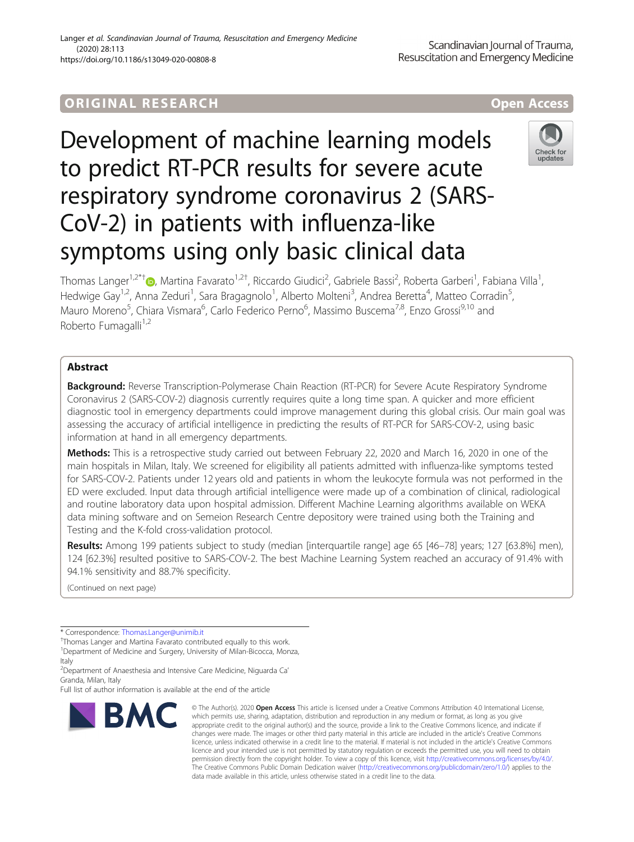# **ORIGINAL RESEARCH AND LOCAL CONSUMING A LOCAL CONSUMING A LOCAL CONSUMING A LOCAL CONSUMING A LOCAL CONSUMING**

Development of machine learning models to predict RT-PCR results for severe acute respiratory syndrome coronavirus 2 (SARS-CoV-2) in patients with influenza-like symptoms using only basic clinical data



Thomas Langer<sup>1[,](http://orcid.org/0000-0002-9725-8520)2\*†</sup>®, Martina Favarato<sup>1,2†</sup>, Riccardo Giudici<sup>2</sup>, Gabriele Bassi<sup>2</sup>, Roberta Garberi<sup>1</sup>, Fabiana Villa<sup>1</sup> , Hedwige Gay<sup>1,2</sup>, Anna Zeduri<sup>1</sup>, Sara Bragagnolo<sup>1</sup>, Alberto Molteni<sup>3</sup>, Andrea Beretta<sup>4</sup>, Matteo Corradin<sup>5</sup> , Mauro Moreno<sup>5</sup>, Chiara Vismara<sup>6</sup>, Carlo Federico Perno<sup>6</sup>, Massimo Buscema<sup>7,8</sup>, Enzo Grossi<sup>9,10</sup> and Roberto Fumagalli<sup>1,2</sup>

# Abstract

**Background:** Reverse Transcription-Polymerase Chain Reaction (RT-PCR) for Severe Acute Respiratory Syndrome Coronavirus 2 (SARS-COV-2) diagnosis currently requires quite a long time span. A quicker and more efficient diagnostic tool in emergency departments could improve management during this global crisis. Our main goal was assessing the accuracy of artificial intelligence in predicting the results of RT-PCR for SARS-COV-2, using basic information at hand in all emergency departments.

Methods: This is a retrospective study carried out between February 22, 2020 and March 16, 2020 in one of the main hospitals in Milan, Italy. We screened for eligibility all patients admitted with influenza-like symptoms tested for SARS-COV-2. Patients under 12 years old and patients in whom the leukocyte formula was not performed in the ED were excluded. Input data through artificial intelligence were made up of a combination of clinical, radiological and routine laboratory data upon hospital admission. Different Machine Learning algorithms available on WEKA data mining software and on Semeion Research Centre depository were trained using both the Training and Testing and the K-fold cross-validation protocol.

Results: Among 199 patients subject to study (median [interquartile range] age 65 [46-78] years; 127 [63.8%] men), 124 [62.3%] resulted positive to SARS-COV-2. The best Machine Learning System reached an accuracy of 91.4% with 94.1% sensitivity and 88.7% specificity.

(Continued on next page)

Full list of author information is available at the end of the article



<sup>©</sup> The Author(s), 2020 **Open Access** This article is licensed under a Creative Commons Attribution 4.0 International License, which permits use, sharing, adaptation, distribution and reproduction in any medium or format, as long as you give appropriate credit to the original author(s) and the source, provide a link to the Creative Commons licence, and indicate if changes were made. The images or other third party material in this article are included in the article's Creative Commons licence, unless indicated otherwise in a credit line to the material. If material is not included in the article's Creative Commons licence and your intended use is not permitted by statutory regulation or exceeds the permitted use, you will need to obtain permission directly from the copyright holder. To view a copy of this licence, visit [http://creativecommons.org/licenses/by/4.0/.](http://creativecommons.org/licenses/by/4.0/) The Creative Commons Public Domain Dedication waiver [\(http://creativecommons.org/publicdomain/zero/1.0/](http://creativecommons.org/publicdomain/zero/1.0/)) applies to the data made available in this article, unless otherwise stated in a credit line to the data.

<sup>\*</sup> Correspondence: [Thomas.Langer@unimib.it](mailto:Thomas.Langer@unimib.it) †

<sup>&</sup>lt;sup>+</sup>Thomas Langer and Martina Favarato contributed equally to this work.

<sup>&</sup>lt;sup>1</sup>Department of Medicine and Surgery, University of Milan-Bicocca, Monza, Italy

<sup>2</sup> Department of Anaesthesia and Intensive Care Medicine, Niguarda Ca' Granda, Milan, Italy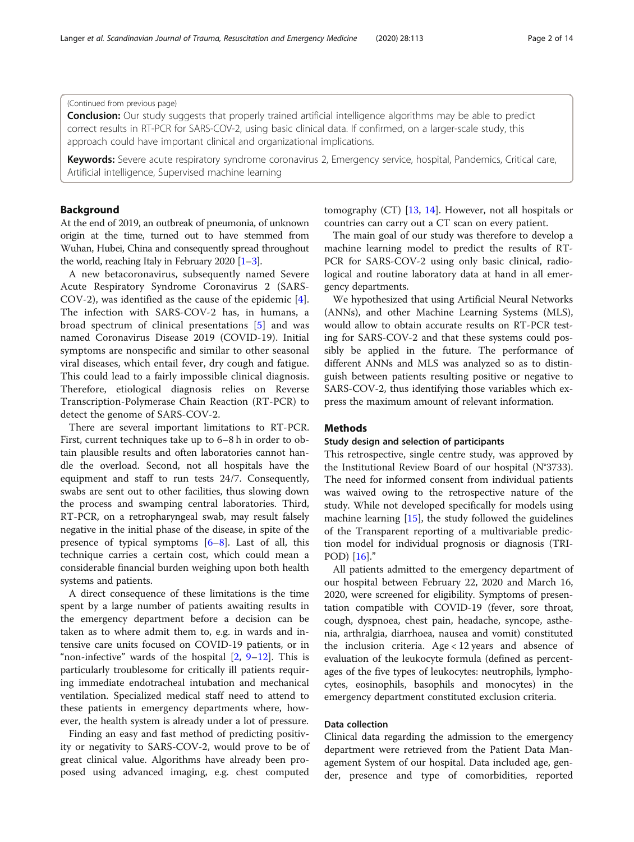### (Continued from previous page)

**Conclusion:** Our study suggests that properly trained artificial intelligence algorithms may be able to predict correct results in RT-PCR for SARS-COV-2, using basic clinical data. If confirmed, on a larger-scale study, this approach could have important clinical and organizational implications.

Keywords: Severe acute respiratory syndrome coronavirus 2, Emergency service, hospital, Pandemics, Critical care, Artificial intelligence, Supervised machine learning

# Background

At the end of 2019, an outbreak of pneumonia, of unknown origin at the time, turned out to have stemmed from Wuhan, Hubei, China and consequently spread throughout the world, reaching Italy in February 2020 [\[1](#page-12-0)–[3](#page-12-0)].

A new betacoronavirus, subsequently named Severe Acute Respiratory Syndrome Coronavirus 2 (SARS-COV-2), was identified as the cause of the epidemic [\[4](#page-12-0)]. The infection with SARS-COV-2 has, in humans, a broad spectrum of clinical presentations [[5\]](#page-12-0) and was named Coronavirus Disease 2019 (COVID-19). Initial symptoms are nonspecific and similar to other seasonal viral diseases, which entail fever, dry cough and fatigue. This could lead to a fairly impossible clinical diagnosis. Therefore, etiological diagnosis relies on Reverse Transcription-Polymerase Chain Reaction (RT-PCR) to detect the genome of SARS-COV-2.

There are several important limitations to RT-PCR. First, current techniques take up to 6–8 h in order to obtain plausible results and often laboratories cannot handle the overload. Second, not all hospitals have the equipment and staff to run tests 24/7. Consequently, swabs are sent out to other facilities, thus slowing down the process and swamping central laboratories. Third, RT-PCR, on a retropharyngeal swab, may result falsely negative in the initial phase of the disease, in spite of the presence of typical symptoms  $[6-8]$  $[6-8]$  $[6-8]$ . Last of all, this technique carries a certain cost, which could mean a considerable financial burden weighing upon both health systems and patients.

A direct consequence of these limitations is the time spent by a large number of patients awaiting results in the emergency department before a decision can be taken as to where admit them to, e.g. in wards and intensive care units focused on COVID-19 patients, or in "non-infective" wards of the hospital  $[2, 9-12]$  $[2, 9-12]$  $[2, 9-12]$  $[2, 9-12]$  $[2, 9-12]$  $[2, 9-12]$ . This is particularly troublesome for critically ill patients requiring immediate endotracheal intubation and mechanical ventilation. Specialized medical staff need to attend to these patients in emergency departments where, however, the health system is already under a lot of pressure.

Finding an easy and fast method of predicting positivity or negativity to SARS-COV-2, would prove to be of great clinical value. Algorithms have already been proposed using advanced imaging, e.g. chest computed

tomography (CT) [[13,](#page-12-0) [14](#page-12-0)]. However, not all hospitals or countries can carry out a CT scan on every patient.

The main goal of our study was therefore to develop a machine learning model to predict the results of RT-PCR for SARS-COV-2 using only basic clinical, radiological and routine laboratory data at hand in all emergency departments.

We hypothesized that using Artificial Neural Networks (ANNs), and other Machine Learning Systems (MLS), would allow to obtain accurate results on RT-PCR testing for SARS-COV-2 and that these systems could possibly be applied in the future. The performance of different ANNs and MLS was analyzed so as to distinguish between patients resulting positive or negative to SARS-COV-2, thus identifying those variables which express the maximum amount of relevant information.

# **Methods**

# Study design and selection of participants

This retrospective, single centre study, was approved by the Institutional Review Board of our hospital (N°3733). The need for informed consent from individual patients was waived owing to the retrospective nature of the study. While not developed specifically for models using machine learning [[15\]](#page-12-0), the study followed the guidelines of the Transparent reporting of a multivariable prediction model for individual prognosis or diagnosis (TRI-POD) [\[16](#page-12-0)]."

All patients admitted to the emergency department of our hospital between February 22, 2020 and March 16, 2020, were screened for eligibility. Symptoms of presentation compatible with COVID-19 (fever, sore throat, cough, dyspnoea, chest pain, headache, syncope, asthenia, arthralgia, diarrhoea, nausea and vomit) constituted the inclusion criteria. Age < 12 years and absence of evaluation of the leukocyte formula (defined as percentages of the five types of leukocytes: neutrophils, lymphocytes, eosinophils, basophils and monocytes) in the emergency department constituted exclusion criteria.

# Data collection

Clinical data regarding the admission to the emergency department were retrieved from the Patient Data Management System of our hospital. Data included age, gender, presence and type of comorbidities, reported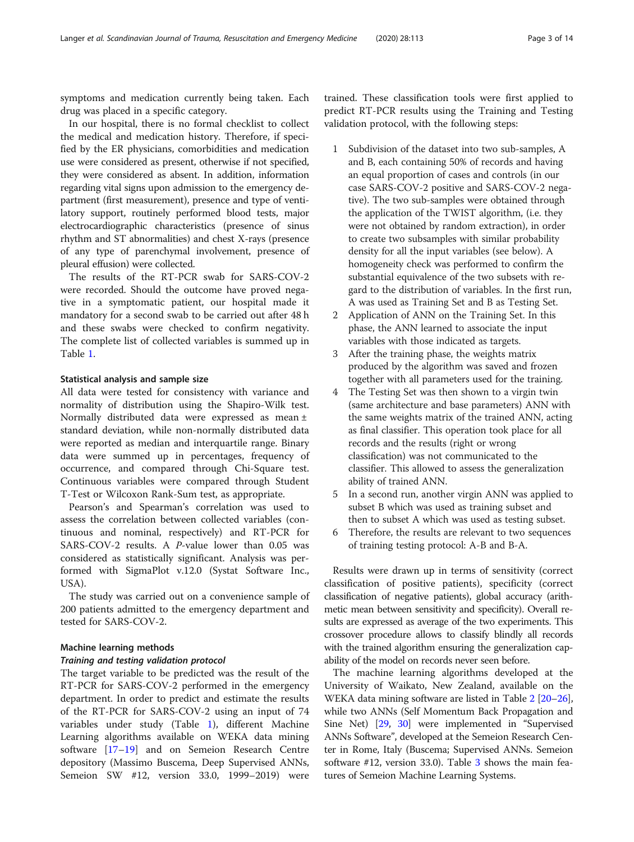symptoms and medication currently being taken. Each drug was placed in a specific category.

In our hospital, there is no formal checklist to collect the medical and medication history. Therefore, if specified by the ER physicians, comorbidities and medication use were considered as present, otherwise if not specified, they were considered as absent. In addition, information regarding vital signs upon admission to the emergency department (first measurement), presence and type of ventilatory support, routinely performed blood tests, major electrocardiographic characteristics (presence of sinus rhythm and ST abnormalities) and chest X-rays (presence of any type of parenchymal involvement, presence of pleural effusion) were collected.

The results of the RT-PCR swab for SARS-COV-2 were recorded. Should the outcome have proved negative in a symptomatic patient, our hospital made it mandatory for a second swab to be carried out after 48 h and these swabs were checked to confirm negativity. The complete list of collected variables is summed up in Table [1.](#page-3-0)

# Statistical analysis and sample size

All data were tested for consistency with variance and normality of distribution using the Shapiro-Wilk test. Normally distributed data were expressed as mean ± standard deviation, while non-normally distributed data were reported as median and interquartile range. Binary data were summed up in percentages, frequency of occurrence, and compared through Chi-Square test. Continuous variables were compared through Student T-Test or Wilcoxon Rank-Sum test, as appropriate.

Pearson's and Spearman's correlation was used to assess the correlation between collected variables (continuous and nominal, respectively) and RT-PCR for SARS-COV-2 results. A P-value lower than 0.05 was considered as statistically significant. Analysis was performed with SigmaPlot v.12.0 (Systat Software Inc., USA).

The study was carried out on a convenience sample of 200 patients admitted to the emergency department and tested for SARS-COV-2.

# Machine learning methods

# Training and testing validation protocol

The target variable to be predicted was the result of the RT-PCR for SARS-COV-2 performed in the emergency department. In order to predict and estimate the results of the RT-PCR for SARS-COV-2 using an input of 74 variables under study (Table [1\)](#page-3-0), different Machine Learning algorithms available on WEKA data mining software [\[17](#page-12-0)–[19\]](#page-12-0) and on Semeion Research Centre depository (Massimo Buscema, Deep Supervised ANNs, Semeion SW #12, version 33.0, 1999–2019) were

trained. These classification tools were first applied to predict RT-PCR results using the Training and Testing validation protocol, with the following steps:

- 1 Subdivision of the dataset into two sub-samples, A and B, each containing 50% of records and having an equal proportion of cases and controls (in our case SARS-COV-2 positive and SARS-COV-2 negative). The two sub-samples were obtained through the application of the TWIST algorithm, (i.e. they were not obtained by random extraction), in order to create two subsamples with similar probability density for all the input variables (see below). A homogeneity check was performed to confirm the substantial equivalence of the two subsets with regard to the distribution of variables. In the first run, A was used as Training Set and B as Testing Set.
- 2 Application of ANN on the Training Set. In this phase, the ANN learned to associate the input variables with those indicated as targets.
- 3 After the training phase, the weights matrix produced by the algorithm was saved and frozen together with all parameters used for the training.
- 4 The Testing Set was then shown to a virgin twin (same architecture and base parameters) ANN with the same weights matrix of the trained ANN, acting as final classifier. This operation took place for all records and the results (right or wrong classification) was not communicated to the classifier. This allowed to assess the generalization ability of trained ANN.
- 5 In a second run, another virgin ANN was applied to subset B which was used as training subset and then to subset A which was used as testing subset.
- Therefore, the results are relevant to two sequences of training testing protocol: A-B and B-A.

Results were drawn up in terms of sensitivity (correct classification of positive patients), specificity (correct classification of negative patients), global accuracy (arithmetic mean between sensitivity and specificity). Overall results are expressed as average of the two experiments. This crossover procedure allows to classify blindly all records with the trained algorithm ensuring the generalization capability of the model on records never seen before.

The machine learning algorithms developed at the University of Waikato, New Zealand, available on the WEKA data mining software are listed in Table [2](#page-4-0) [\[20](#page-12-0)–[26](#page-12-0)], while two ANNs (Self Momentum Back Propagation and Sine Net) [[29](#page-12-0), [30](#page-12-0)] were implemented in "Supervised ANNs Software", developed at the Semeion Research Center in Rome, Italy (Buscema; Supervised ANNs. Semeion software  $\#12$ , version [3](#page-4-0)3.0). Table 3 shows the main features of Semeion Machine Learning Systems.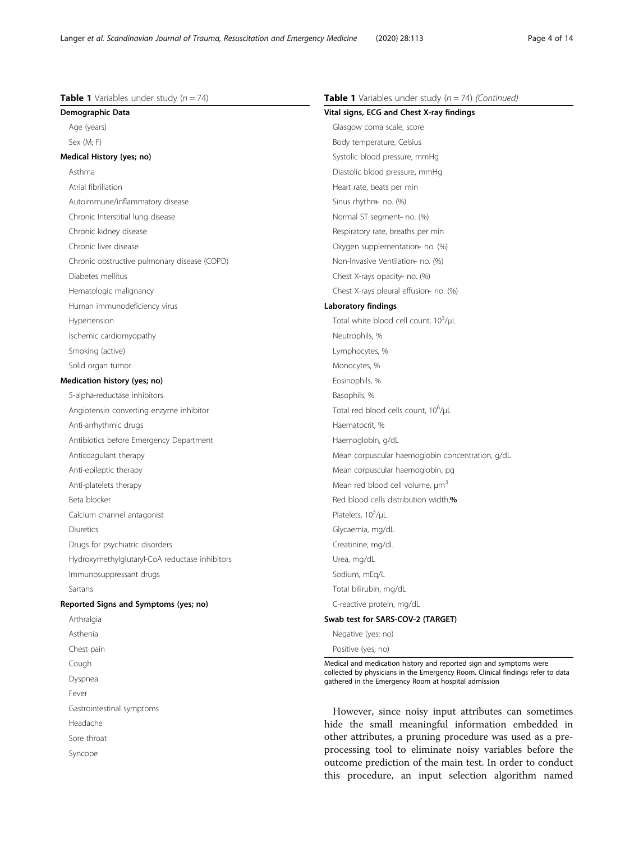$Table 1$  Variables under study  $(n - 74)$ 

<span id="page-3-0"></span>

| <b>Table 1</b> Variables under study $(n = 74)$ | Table 1 Variables under study $(n = 74)$ (Continued)                                                                                   |  |  |
|-------------------------------------------------|----------------------------------------------------------------------------------------------------------------------------------------|--|--|
| Demographic Data                                | Vital signs, ECG and Chest X-ray findings                                                                                              |  |  |
| Age (years)                                     | Glasgow coma scale, score                                                                                                              |  |  |
| Sex (M; F)                                      | Body temperature, Celsius                                                                                                              |  |  |
| Medical History (yes; no)                       | Systolic blood pressure, mmHg                                                                                                          |  |  |
| Asthma                                          | Diastolic blood pressure, mmHg                                                                                                         |  |  |
| Atrial fibrillation                             | Heart rate, beats per min                                                                                                              |  |  |
| Autoimmune/inflammatory disease                 | Sinus rhythm no. (%)                                                                                                                   |  |  |
| Chronic Interstitial lung disease               | Normal ST segment- no. (%)                                                                                                             |  |  |
| Chronic kidney disease                          | Respiratory rate, breaths per min                                                                                                      |  |  |
| Chronic liver disease                           | Oxygen supplementation- no. (%)                                                                                                        |  |  |
| Chronic obstructive pulmonary disease (COPD)    | Non-Invasive Ventilation no. (%)                                                                                                       |  |  |
| Diabetes mellitus                               | Chest X-rays opacity - no. (%)                                                                                                         |  |  |
| Hematologic malignancy                          | Chest X-rays pleural effusion- no. (%)                                                                                                 |  |  |
| Human immunodeficiency virus                    | Laboratory findings                                                                                                                    |  |  |
| Hypertension                                    | Total white blood cell count, 10 <sup>3</sup> /µL                                                                                      |  |  |
| Ischemic cardiomyopathy                         | Neutrophils, %                                                                                                                         |  |  |
| Smoking (active)                                | Lymphocytes, %                                                                                                                         |  |  |
| Solid organ tumor                               | Monocytes, %                                                                                                                           |  |  |
| Medication history (yes; no)                    | Eosinophils, %                                                                                                                         |  |  |
| 5-alpha-reductase inhibitors                    | Basophils, %                                                                                                                           |  |  |
| Angiotensin converting enzyme inhibitor         | Total red blood cells count, 10 <sup>6</sup> /µL                                                                                       |  |  |
| Anti-arrhythmic drugs                           | Haematocrit, %                                                                                                                         |  |  |
| Antibiotics before Emergency Department         | Haemoglobin, g/dL                                                                                                                      |  |  |
| Anticoagulant therapy                           | Mean corpuscular haemoglobin concentration, g/dL                                                                                       |  |  |
| Anti-epileptic therapy                          | Mean corpuscular haemoglobin, pg                                                                                                       |  |  |
| Anti-platelets therapy                          | Mean red blood cell volume, $\mu m^3$                                                                                                  |  |  |
| Beta blocker                                    | Red blood cells distribution width,%                                                                                                   |  |  |
| Calcium channel antagonist                      | Platelets, 10 <sup>3</sup> /µL                                                                                                         |  |  |
| Diuretics                                       | Glycaemia, mg/dL                                                                                                                       |  |  |
| Drugs for psychiatric disorders                 | Creatinine, mg/dL                                                                                                                      |  |  |
| Hydroxymethylglutaryl-CoA reductase inhibitors  | Urea, mg/dL                                                                                                                            |  |  |
| Immunosuppressant drugs                         | Sodium, mEq/L                                                                                                                          |  |  |
| Sartans                                         | Total bilirubin, mg/dL                                                                                                                 |  |  |
| Reported Signs and Symptoms (yes; no)           | C-reactive protein, mg/dL                                                                                                              |  |  |
| Arthralgia                                      | Swab test for SARS-COV-2 (TARGET)                                                                                                      |  |  |
| Asthenia                                        | Negative (yes; no)                                                                                                                     |  |  |
| Chest pain                                      | Positive (yes; no)                                                                                                                     |  |  |
| Cough                                           | Medical and medication history and reported sign and symptoms were                                                                     |  |  |
| Dyspnea                                         | collected by physicians in the Emergency Room. Clinical findings refer to data<br>gathered in the Emergency Room at hospital admission |  |  |
| Fever                                           |                                                                                                                                        |  |  |
| Gastrointestinal symptoms                       | However, since noisy input attributes can sometimes                                                                                    |  |  |
| Headache                                        | hide the small meaningful information embedded in                                                                                      |  |  |
| Sore throat                                     | other attributes, a pruning procedure was used as a pre-                                                                               |  |  |

processing tool to eliminate noisy variables before the outcome prediction of the main test. In order to conduct this procedure, an input selection algorithm named

Sore throat Syncope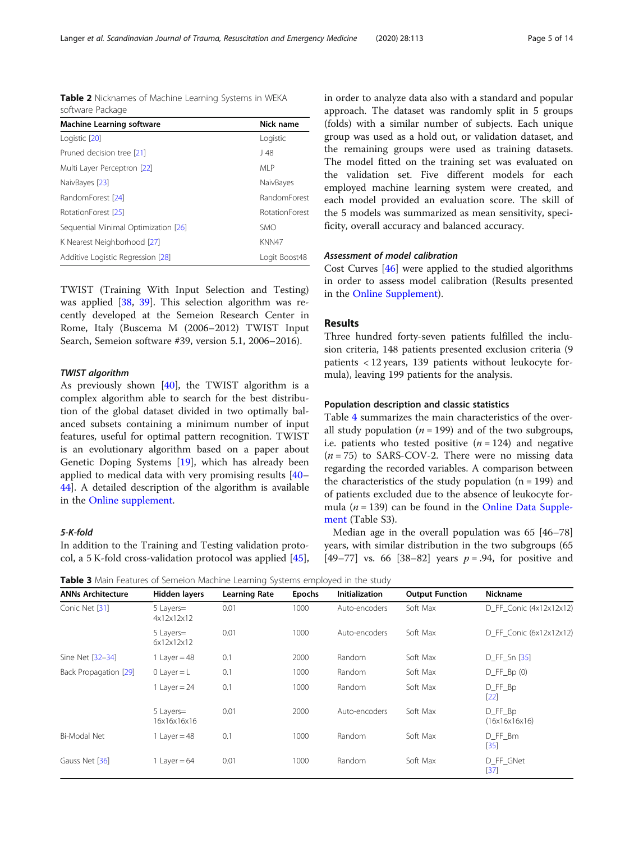<span id="page-4-0"></span>Table 2 Nicknames of Machine Learning Systems in WEKA software Package

| <b>Machine Learning software</b>     | Nick name      |
|--------------------------------------|----------------|
| Logistic [20]                        | Logistic       |
| Pruned decision tree [21]            | J 48           |
| Multi Layer Perceptron [22]          | MI P           |
| NaivBayes [23]                       | NaivBayes      |
| RandomForest [24]                    | RandomForest   |
| RotationForest [25]                  | RotationForest |
| Sequential Minimal Optimization [26] | <b>SMO</b>     |
| K Nearest Neighborhood [27]          | KNN47          |
| Additive Logistic Regression [28]    | Logit Boost48  |

TWIST (Training With Input Selection and Testing) was applied [\[38,](#page-12-0) [39\]](#page-12-0). This selection algorithm was recently developed at the Semeion Research Center in Rome, Italy (Buscema M (2006–2012) TWIST Input Search, Semeion software #39, version 5.1, 2006–2016).

# TWIST algorithm

As previously shown [\[40](#page-12-0)], the TWIST algorithm is a complex algorithm able to search for the best distribution of the global dataset divided in two optimally balanced subsets containing a minimum number of input features, useful for optimal pattern recognition. TWIST is an evolutionary algorithm based on a paper about Genetic Doping Systems [\[19](#page-12-0)], which has already been applied to medical data with very promising results [[40](#page-12-0)– [44\]](#page-12-0). A detailed description of the algorithm is available in the [Online supplement](#page-11-0).

# 5-K-fold

In addition to the Training and Testing validation protocol, a 5 K-fold cross-validation protocol was applied [\[45](#page-12-0)], in order to analyze data also with a standard and popular approach. The dataset was randomly split in 5 groups (folds) with a similar number of subjects. Each unique group was used as a hold out, or validation dataset, and the remaining groups were used as training datasets. The model fitted on the training set was evaluated on the validation set. Five different models for each employed machine learning system were created, and each model provided an evaluation score. The skill of the 5 models was summarized as mean sensitivity, specificity, overall accuracy and balanced accuracy.

# Assessment of model calibration

Cost Curves [[46\]](#page-12-0) were applied to the studied algorithms in order to assess model calibration (Results presented in the [Online Supplement](#page-11-0)).

# Results

Three hundred forty-seven patients fulfilled the inclusion criteria, 148 patients presented exclusion criteria (9 patients < 12 years, 139 patients without leukocyte formula), leaving 199 patients for the analysis.

# Population description and classic statistics

Table [4](#page-5-0) summarizes the main characteristics of the overall study population ( $n = 199$ ) and of the two subgroups, i.e. patients who tested positive  $(n = 124)$  and negative  $(n = 75)$  to SARS-COV-2. There were no missing data regarding the recorded variables. A comparison between the characteristics of the study population  $(n = 199)$  and of patients excluded due to the absence of leukocyte formula ( $n = 139$ ) can be found in the [Online Data Supple](#page-11-0)[ment](#page-11-0) (Table S3).

Median age in the overall population was 65 [46–78] years, with similar distribution in the two subgroups (65 [49–77] vs. 66 [38–82] years  $p = .94$ , for positive and

**Table 3** Main Features of Semeion Machine Learning Systems employed in the study

| <b>ANNs Architecture</b> | Hidden layers            | <b>Learning Rate</b> | <b>Epochs</b> | <b>Initialization</b> | <b>Output Function</b> | Nickname                 |
|--------------------------|--------------------------|----------------------|---------------|-----------------------|------------------------|--------------------------|
| Conic Net [31]           | 5 Layers=<br>4x12x12x12  | 0.01                 | 1000          | Auto-encoders         | Soft Max               | D FF Conic (4x12x12x12)  |
|                          | 5 Layers=<br>6x12x12x12  | 0.01                 | 1000          | Auto-encoders         | Soft Max               | D FF Conic (6x12x12x12)  |
| Sine Net [32-34]         | 1 Layer = $48$           | 0.1                  | 2000          | Random                | Soft Max               | D_FF_Sn [35]             |
| Back Propagation [29]    | 0 Layer $=L$             | 0.1                  | 1000          | Random                | Soft Max               | $D$ FF $Bp(0)$           |
|                          | 1 Layer = $24$           | 0.1                  | 1000          | Random                | Soft Max               | D FF Bp<br>$[22]$        |
|                          | 5 Layers=<br>16x16x16x16 | 0.01                 | 2000          | Auto-encoders         | Soft Max               | D_FF_Bp<br>(16x16x16x16) |
| Bi-Modal Net             | 1 Layer = $48$           | 0.1                  | 1000          | Random                | Soft Max               | D_FF_Bm<br>$[35]$        |
| Gauss Net [36]           | 1 Layer = $64$           | 0.01                 | 1000          | Random                | Soft Max               | D_FF_GNet<br>$[37]$      |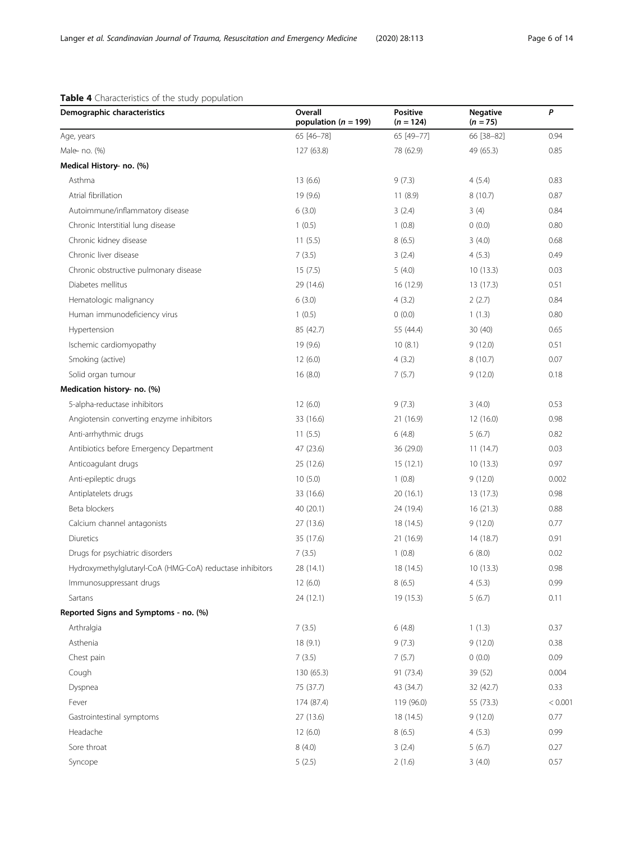# <span id="page-5-0"></span>Table 4 Characteristics of the study population

| Demographic characteristics                              | Overall<br>population ( $n = 199$ ) | <b>Positive</b><br>$(n = 124)$ | <b>Negative</b><br>$(n = 75)$ | P       |
|----------------------------------------------------------|-------------------------------------|--------------------------------|-------------------------------|---------|
| Age, years                                               | 65 [46-78]                          | 65 [49-77]                     | 66 [38-82]                    | 0.94    |
| Male no. (%)                                             | 127 (63.8)                          | 78 (62.9)                      | 49 (65.3)                     | 0.85    |
| Medical History no. (%)                                  |                                     |                                |                               |         |
| Asthma                                                   | 13(6.6)                             | 9(7.3)                         | 4(5.4)                        | 0.83    |
| Atrial fibrillation                                      | 19 (9.6)                            | 11(8.9)                        | 8(10.7)                       | 0.87    |
| Autoimmune/inflammatory disease                          | 6(3.0)                              | 3(2.4)                         | 3(4)                          | 0.84    |
| Chronic Interstitial lung disease                        | 1(0.5)                              | 1(0.8)                         | 0(0.0)                        | 0.80    |
| Chronic kidney disease                                   | 11(5.5)                             | 8(6.5)                         | 3(4.0)                        | 0.68    |
| Chronic liver disease                                    | 7(3.5)                              | 3(2.4)                         | 4(5.3)                        | 0.49    |
| Chronic obstructive pulmonary disease                    | 15(7.5)                             | 5(4.0)                         | 10(13.3)                      | 0.03    |
| Diabetes mellitus                                        | 29 (14.6)                           | 16 (12.9)                      | 13 (17.3)                     | 0.51    |
| Hematologic malignancy                                   | 6(3.0)                              | 4(3.2)                         | 2(2.7)                        | 0.84    |
| Human immunodeficiency virus                             | 1(0.5)                              | 0(0.0)                         | 1(1.3)                        | 0.80    |
| Hypertension                                             | 85 (42.7)                           | 55 (44.4)                      | 30(40)                        | 0.65    |
| Ischemic cardiomyopathy                                  | 19 (9.6)                            | 10(8.1)                        | 9(12.0)                       | 0.51    |
| Smoking (active)                                         | 12(6.0)                             | 4(3.2)                         | 8(10.7)                       | 0.07    |
| Solid organ tumour                                       | 16(8.0)                             | 7(5.7)                         | 9(12.0)                       | 0.18    |
| Medication history no. (%)                               |                                     |                                |                               |         |
| 5-alpha-reductase inhibitors                             | 12(6.0)                             | 9(7.3)                         | 3(4.0)                        | 0.53    |
| Angiotensin converting enzyme inhibitors                 | 33 (16.6)                           | 21 (16.9)                      | 12(16.0)                      | 0.98    |
| Anti-arrhythmic drugs                                    | 11(5.5)                             | 6(4.8)                         | 5(6.7)                        | 0.82    |
| Antibiotics before Emergency Department                  | 47 (23.6)                           | 36 (29.0)                      | 11(14.7)                      | 0.03    |
| Anticoagulant drugs                                      | 25 (12.6)                           | 15(12.1)                       | 10(13.3)                      | 0.97    |
| Anti-epileptic drugs                                     | 10(5.0)                             | 1(0.8)                         | 9(12.0)                       | 0.002   |
| Antiplatelets drugs                                      | 33 (16.6)                           | 20(16.1)                       | 13 (17.3)                     | 0.98    |
| Beta blockers                                            | 40 (20.1)                           | 24 (19.4)                      | 16(21.3)                      | 0.88    |
| Calcium channel antagonists                              | 27 (13.6)                           | 18 (14.5)                      | 9(12.0)                       | 0.77    |
| Diuretics                                                | 35 (17.6)                           | 21 (16.9)                      | 14 (18.7)                     | 0.91    |
| Drugs for psychiatric disorders                          | 7(3.5)                              | 1(0.8)                         | 6(8.0)                        | 0.02    |
| Hydroxymethylglutaryl-CoA (HMG-CoA) reductase inhibitors | 28 (14.1)                           | 18 (14.5)                      | 10(13.3)                      | 0.98    |
| Immunosuppressant drugs                                  | 12(6.0)                             | 8(6.5)                         | 4(5.3)                        | 0.99    |
| Sartans                                                  | 24 (12.1)                           | 19 (15.3)                      | 5(6.7)                        | 0.11    |
| Reported Signs and Symptoms - no. (%)                    |                                     |                                |                               |         |
| Arthralgia                                               | 7(3.5)                              | 6(4.8)                         | 1(1.3)                        | 0.37    |
| Asthenia                                                 | 18 (9.1)                            | 9(7.3)                         | 9(12.0)                       | 0.38    |
| Chest pain                                               | 7(3.5)                              | 7(5.7)                         | 0(0.0)                        | 0.09    |
| Cough                                                    | 130 (65.3)                          | 91 (73.4)                      | 39 (52)                       | 0.004   |
| Dyspnea                                                  | 75 (37.7)                           | 43 (34.7)                      | 32 (42.7)                     | 0.33    |
| Fever                                                    | 174 (87.4)                          | 119 (96.0)                     | 55 (73.3)                     | < 0.001 |
| Gastrointestinal symptoms                                | 27 (13.6)                           | 18 (14.5)                      | 9(12.0)                       | 0.77    |
| Headache                                                 | 12(6.0)                             | 8(6.5)                         | 4(5.3)                        | 0.99    |
| Sore throat                                              | 8(4.0)                              | 3(2.4)                         | 5(6.7)                        | 0.27    |
| Syncope                                                  | 5(2.5)                              | 2(1.6)                         | 3(4.0)                        | 0.57    |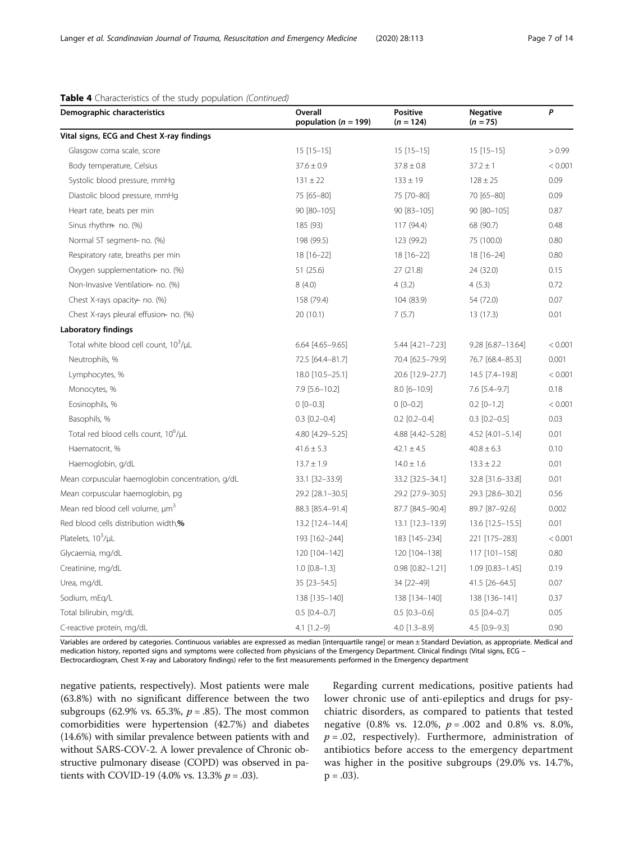| Demographic characteristics                       | Overall<br>population ( $n = 199$ ) | <b>Positive</b><br>$(n = 124)$ | <b>Negative</b><br>$(n = 75)$ | P       |
|---------------------------------------------------|-------------------------------------|--------------------------------|-------------------------------|---------|
| Vital signs, ECG and Chest X-ray findings         |                                     |                                |                               |         |
| Glasgow coma scale, score                         | $15$ [15-15]                        | $15[15-15]$                    | $15 [15 - 15]$                | > 0.99  |
| Body temperature, Celsius                         | $37.6 \pm 0.9$                      | $37.8 \pm 0.8$                 | $37.2 \pm 1$                  | < 0.001 |
| Systolic blood pressure, mmHg                     | $131 \pm 22$                        | $133 \pm 19$                   | $128 \pm 25$                  | 0.09    |
| Diastolic blood pressure, mmHg                    | 75 [65-80]                          | 75 [70-80]                     | 70 [65-80]                    | 0.09    |
| Heart rate, beats per min                         | 90 [80-105]                         | 90 [83-105]                    | 90 [80-105]                   | 0.87    |
| Sinus rhythm no. (%)                              | 185 (93)                            | 117 (94.4)                     | 68 (90.7)                     | 0.48    |
| Normal ST segment- no. (%)                        | 198 (99.5)                          | 123 (99.2)                     | 75 (100.0)                    | 0.80    |
| Respiratory rate, breaths per min                 | 18 [16-22]                          | 18 [16-22]                     | 18 [16-24]                    | 0.80    |
| Oxygen supplementation no. (%)                    | 51 (25.6)                           | 27 (21.8)                      | 24 (32.0)                     | 0.15    |
| Non-Invasive Ventilation- no. (%)                 | 8(4.0)                              | 4(3.2)                         | 4(5.3)                        | 0.72    |
| Chest X-rays opacity- no. (%)                     | 158 (79.4)                          | 104 (83.9)                     | 54 (72.0)                     | 0.07    |
| Chest X-rays pleural effusion- no. (%)            | 20(10.1)                            | 7(5.7)                         | 13 (17.3)                     | 0.01    |
| <b>Laboratory findings</b>                        |                                     |                                |                               |         |
| Total white blood cell count, 10 <sup>3</sup> /µL | 6.64 [4.65-9.65]                    | 5.44 [4.21-7.23]               | 9.28 [6.87-13.64]             | < 0.001 |
| Neutrophils, %                                    | 72.5 [64.4-81.7]                    | 70.4 [62.5-79.9]               | 76.7 [68.4-85.3]              | 0.001   |
| Lymphocytes, %                                    | 18.0 [10.5-25.1]                    | 20.6 [12.9-27.7]               | 14.5 [7.4-19.8]               | < 0.001 |
| Monocytes, %                                      | 7.9 [5.6-10.2]                      | $8.0 [6 - 10.9]$               | 7.6 [5.4-9.7]                 | 0.18    |
| Eosinophils, %                                    | $0 [0 - 0.3]$                       | $0 [0 - 0.2]$                  | $0.2$ [0-1.2]                 | < 0.001 |
| Basophils, %                                      | $0.3$ [0.2-0.4]                     | $0.2$ [0.2-0.4]                | $0.3$ [0.2-0.5]               | 0.03    |
| Total red blood cells count, 10 <sup>6</sup> /µL  | 4.80 [4.29-5.25]                    | 4.88 [4.42-5.28]               | 4.52 [4.01-5.14]              | 0.01    |
| Haematocrit, %                                    | $41.6 \pm 5.3$                      | $42.1 \pm 4.5$                 | $40.8 \pm 6.3$                | 0.10    |
| Haemoglobin, g/dL                                 | $13.7 \pm 1.9$                      | $14.0 \pm 1.6$                 | $13.3 \pm 2.2$                | 0.01    |
| Mean corpuscular haemoglobin concentration, g/dL  | 33.1 [32-33.9]                      | 33.2 [32.5-34.1]               | 32.8 [31.6-33.8]              | 0.01    |
| Mean corpuscular haemoglobin, pg                  | 29.2 [28.1-30.5]                    | 29.2 [27.9-30.5]               | 29.3 [28.6-30.2]              | 0.56    |
| Mean red blood cell volume, µm <sup>3</sup>       | 88.3 [85.4-91.4]                    | 87.7 [84.5-90.4]               | 89.7 [87-92.6]                | 0.002   |
| Red blood cells distribution width,%              | 13.2 [12.4-14.4]                    | 13.1 [12.3-13.9]               | 13.6 [12.5-15.5]              | 0.01    |
| Platelets, 10 <sup>3</sup> /µL                    | 193 [162-244]                       | 183 [145-234]                  | 221 [175-283]                 | < 0.001 |
| Glycaemia, mg/dL                                  | 120 [104-142]                       | 120 [104-138]                  | 117 [101-158]                 | 0.80    |
| Creatinine, mg/dL                                 | $1.0$ $[0.8 - 1.3]$                 | $0.98$ $[0.82 - 1.21]$         | $1.09$ $[0.83 - 1.45]$        | 0.19    |
| Urea, mg/dL                                       | 35 [23-54.5]                        | 34 [22-49]                     | 41.5 [26-64.5]                | 0.07    |
| Sodium, mEq/L                                     | 138 [135-140]                       | 138 [134-140]                  | 138 [136-141]                 | 0.37    |
| Total bilirubin, mg/dL                            | $0.5$ [0.4-0.7]                     | $0.5$ [0.3-0.6]                | $0.5$ [0.4-0.7]               | 0.05    |
| C-reactive protein, mg/dL                         | 4.1 [1.2-9]                         | $4.0$ [1.3-8.9]                | 4.5 [0.9-9.3]                 | 0.90    |

# Table 4 Characteristics of the study population (Continued)

Variables are ordered by categories. Continuous variables are expressed as median [interquartile range] or mean ± Standard Deviation, as appropriate. Medical and medication history, reported signs and symptoms were collected from physicians of the Emergency Department. Clinical findings (Vital signs, ECG – Electrocardiogram, Chest X-ray and Laboratory findings) refer to the first measurements performed in the Emergency department

negative patients, respectively). Most patients were male (63.8%) with no significant difference between the two subgroups (62.9% vs. 65.3%,  $p = .85$ ). The most common comorbidities were hypertension (42.7%) and diabetes (14.6%) with similar prevalence between patients with and without SARS-COV-2. A lower prevalence of Chronic obstructive pulmonary disease (COPD) was observed in patients with COVID-19 (4.0% vs. 13.3%  $p = .03$ ).

Regarding current medications, positive patients had lower chronic use of anti-epileptics and drugs for psychiatric disorders, as compared to patients that tested negative (0.8% vs. 12.0%,  $p = .002$  and 0.8% vs. 8.0%,  $p = .02$ , respectively). Furthermore, administration of antibiotics before access to the emergency department was higher in the positive subgroups (29.0% vs. 14.7%,  $p = .03$ ).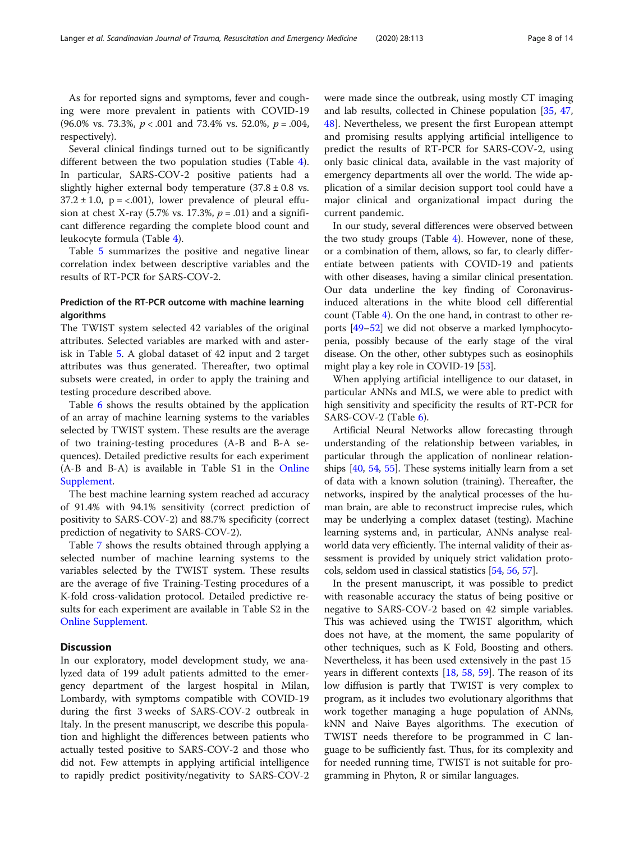As for reported signs and symptoms, fever and coughing were more prevalent in patients with COVID-19 (96.0% vs. 73.3%,  $p < .001$  and 73.4% vs. 52.0%,  $p = .004$ , respectively).

Several clinical findings turned out to be significantly different between the two population studies (Table [4](#page-5-0)). In particular, SARS-COV-2 positive patients had a slightly higher external body temperature  $(37.8 \pm 0.8 \text{ vs.})$  $37.2 \pm 1.0$ ,  $p = < .001$ ), lower prevalence of pleural effusion at chest X-ray (5.7% vs. 17.3%,  $p = .01$ ) and a significant difference regarding the complete blood count and leukocyte formula (Table [4](#page-5-0)).

Table [5](#page-8-0) summarizes the positive and negative linear correlation index between descriptive variables and the results of RT-PCR for SARS-COV-2.

# Prediction of the RT-PCR outcome with machine learning algorithms

The TWIST system selected 42 variables of the original attributes. Selected variables are marked with and asterisk in Table [5](#page-8-0). A global dataset of 42 input and 2 target attributes was thus generated. Thereafter, two optimal subsets were created, in order to apply the training and testing procedure described above.

Table [6](#page-9-0) shows the results obtained by the application of an array of machine learning systems to the variables selected by TWIST system. These results are the average of two training-testing procedures (A-B and B-A sequences). Detailed predictive results for each experiment (A-B and B-A) is available in Table S1 in the [Online](#page-11-0) [Supplement.](#page-11-0)

The best machine learning system reached ad accuracy of 91.4% with 94.1% sensitivity (correct prediction of positivity to SARS-COV-2) and 88.7% specificity (correct prediction of negativity to SARS-COV-2).

Table [7](#page-9-0) shows the results obtained through applying a selected number of machine learning systems to the variables selected by the TWIST system. These results are the average of five Training-Testing procedures of a K-fold cross-validation protocol. Detailed predictive results for each experiment are available in Table S2 in the [Online Supplement.](#page-11-0)

# **Discussion**

In our exploratory, model development study, we analyzed data of 199 adult patients admitted to the emergency department of the largest hospital in Milan, Lombardy, with symptoms compatible with COVID-19 during the first 3 weeks of SARS-COV-2 outbreak in Italy. In the present manuscript, we describe this population and highlight the differences between patients who actually tested positive to SARS-COV-2 and those who did not. Few attempts in applying artificial intelligence to rapidly predict positivity/negativity to SARS-COV-2 were made since the outbreak, using mostly CT imaging and lab results, collected in Chinese population [[35,](#page-12-0) [47](#page-12-0), [48\]](#page-12-0). Nevertheless, we present the first European attempt and promising results applying artificial intelligence to predict the results of RT-PCR for SARS-COV-2, using only basic clinical data, available in the vast majority of emergency departments all over the world. The wide application of a similar decision support tool could have a major clinical and organizational impact during the current pandemic.

In our study, several differences were observed between the two study groups (Table [4](#page-5-0)). However, none of these, or a combination of them, allows, so far, to clearly differentiate between patients with COVID-19 and patients with other diseases, having a similar clinical presentation. Our data underline the key finding of Coronavirusinduced alterations in the white blood cell differential count (Table [4\)](#page-5-0). On the one hand, in contrast to other reports [\[49](#page-13-0)–[52](#page-13-0)] we did not observe a marked lymphocytopenia, possibly because of the early stage of the viral disease. On the other, other subtypes such as eosinophils might play a key role in COVID-19 [\[53\]](#page-13-0).

When applying artificial intelligence to our dataset, in particular ANNs and MLS, we were able to predict with high sensitivity and specificity the results of RT-PCR for SARS-COV-2 (Table [6\)](#page-9-0).

Artificial Neural Networks allow forecasting through understanding of the relationship between variables, in particular through the application of nonlinear relationships  $[40, 54, 55]$  $[40, 54, 55]$  $[40, 54, 55]$  $[40, 54, 55]$  $[40, 54, 55]$ . These systems initially learn from a set of data with a known solution (training). Thereafter, the networks, inspired by the analytical processes of the human brain, are able to reconstruct imprecise rules, which may be underlying a complex dataset (testing). Machine learning systems and, in particular, ANNs analyse realworld data very efficiently. The internal validity of their assessment is provided by uniquely strict validation protocols, seldom used in classical statistics [\[54,](#page-13-0) [56,](#page-13-0) [57](#page-13-0)].

In the present manuscript, it was possible to predict with reasonable accuracy the status of being positive or negative to SARS-COV-2 based on 42 simple variables. This was achieved using the TWIST algorithm, which does not have, at the moment, the same popularity of other techniques, such as K Fold, Boosting and others. Nevertheless, it has been used extensively in the past 15 years in different contexts [[18,](#page-12-0) [58,](#page-13-0) [59](#page-13-0)]. The reason of its low diffusion is partly that TWIST is very complex to program, as it includes two evolutionary algorithms that work together managing a huge population of ANNs, kNN and Naive Bayes algorithms. The execution of TWIST needs therefore to be programmed in C language to be sufficiently fast. Thus, for its complexity and for needed running time, TWIST is not suitable for programming in Phyton, R or similar languages.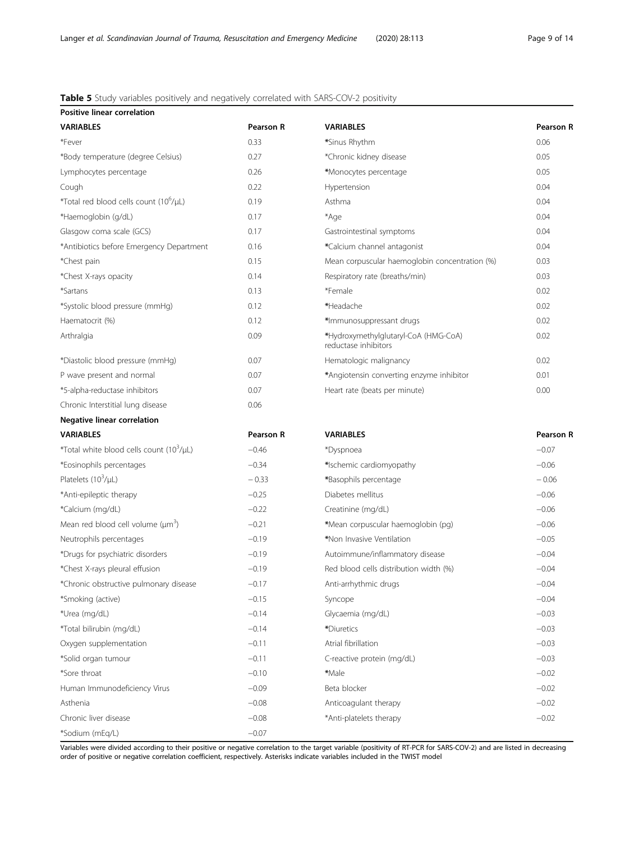# <span id="page-8-0"></span>Table 5 Study variables positively and negatively correlated with SARS-COV-2 positivity

| Positive linear correlation                          |                  |                                                              |                  |
|------------------------------------------------------|------------------|--------------------------------------------------------------|------------------|
| <b>VARIABLES</b>                                     | <b>Pearson R</b> | <b>VARIABLES</b>                                             | Pearson R        |
| *Fever                                               | 0.33             | *Sinus Rhythm                                                | 0.06             |
| *Body temperature (degree Celsius)                   | 0.27             | *Chronic kidney disease                                      | 0.05             |
| Lymphocytes percentage                               | 0.26             | *Monocytes percentage                                        | 0.05             |
| Cough                                                | 0.22             | Hypertension                                                 | 0.04             |
| *Total red blood cells count (10 <sup>6</sup> /µL)   | 0.19             | Asthma                                                       | 0.04             |
| *Haemoglobin (g/dL)                                  | 0.17             | *Age                                                         | 0.04             |
| Glasgow coma scale (GCS)                             | 0.17             | Gastrointestinal symptoms                                    | 0.04             |
| *Antibiotics before Emergency Department             | 0.16             | *Calcium channel antagonist                                  | 0.04             |
| *Chest pain                                          | 0.15             | Mean corpuscular haemoglobin concentration (%)               | 0.03             |
| *Chest X-rays opacity                                | 0.14             | Respiratory rate (breaths/min)                               | 0.03             |
| *Sartans                                             | 0.13             | *Female                                                      | 0.02             |
| *Systolic blood pressure (mmHg)                      | 0.12             | *Headache                                                    | 0.02             |
| Haematocrit (%)                                      | 0.12             | *Immunosuppressant drugs                                     | 0.02             |
| Arthralgia                                           | 0.09             | *Hydroxymethylglutaryl-CoA (HMG-CoA)<br>reductase inhibitors | 0.02             |
| *Diastolic blood pressure (mmHg)                     | 0.07             | Hematologic malignancy                                       | 0.02             |
| P wave present and normal                            | 0.07             | *Angiotensin converting enzyme inhibitor                     | 0.01             |
| *5-alpha-reductase inhibitors                        | 0.07             | Heart rate (beats per minute)                                | 0.00             |
| Chronic Interstitial lung disease                    | 0.06             |                                                              |                  |
| <b>Negative linear correlation</b>                   |                  |                                                              |                  |
| <b>VARIABLES</b>                                     | <b>Pearson R</b> | <b>VARIABLES</b>                                             | <b>Pearson R</b> |
| *Total white blood cells count (10 <sup>3</sup> /µL) | $-0.46$          | *Dyspnoea                                                    | $-0.07$          |
| *Eosinophils percentages                             | $-0.34$          | *Ischemic cardiomyopathy                                     | $-0.06$          |
| Platelets $(10^3/\mu L)$                             | $-0.33$          | *Basophils percentage                                        | $-0.06$          |
| *Anti-epileptic therapy                              | $-0.25$          | Diabetes mellitus                                            | $-0.06$          |
| *Calcium (mg/dL)                                     | $-0.22$          | Creatinine (mg/dL)                                           | $-0.06$          |
| Mean red blood cell volume $(\mu m^3)$               | $-0.21$          | *Mean corpuscular haemoglobin (pg)                           | $-0.06$          |
| Neutrophils percentages                              | $-0.19$          | *Non Invasive Ventilation                                    | $-0.05$          |
| *Drugs for psychiatric disorders                     | $-0.19$          | Autoimmune/inflammatory disease                              | $-0.04$          |
| *Chest X-rays pleural effusion                       | $-0.19$          | Red blood cells distribution width (%)                       | $-0.04$          |
| *Chronic obstructive pulmonary disease               | $-0.17$          | Anti-arrhythmic drugs                                        | $-0.04$          |
| *Smoking (active)                                    | $-0.15$          | Syncope                                                      | $-0.04$          |
| *Urea (mg/dL)                                        | $-0.14$          | Glycaemia (mg/dL)                                            | $-0.03$          |
| *Total bilirubin (mg/dL)                             | $-0.14$          | *Diuretics                                                   | $-0.03$          |
| Oxygen supplementation                               | $-0.11$          | Atrial fibrillation                                          | $-0.03$          |
| *Solid organ tumour                                  | $-0.11$          | C-reactive protein (mg/dL)                                   | $-0.03$          |
| *Sore throat                                         | $-0.10$          | *Male                                                        | $-0.02$          |
| Human Immunodeficiency Virus                         | $-0.09$          | Beta blocker                                                 | $-0.02$          |
| Asthenia                                             | $-0.08$          | Anticoagulant therapy                                        | $-0.02$          |
| Chronic liver disease                                | $-0.08$          | *Anti-platelets therapy                                      | $-0.02$          |
| *Sodium (mEq/L)                                      | $-0.07$          |                                                              |                  |

Variables were divided according to their positive or negative correlation to the target variable (positivity of RT-PCR for SARS-COV-2) and are listed in decreasing order of positive or negative correlation coefficient, respectively. Asterisks indicate variables included in the TWIST model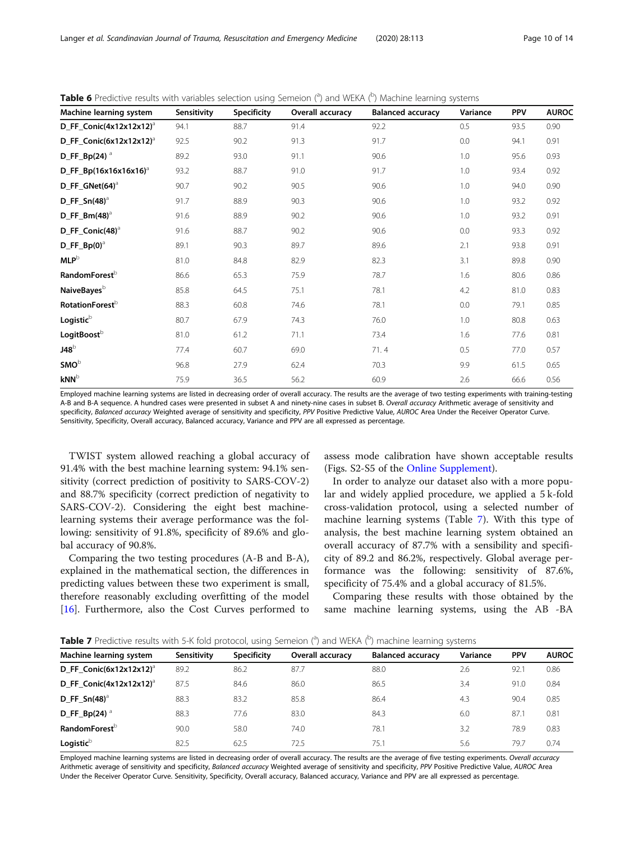| Machine learning system               | Sensitivity | <b>Specificity</b> | Overall accuracy | <b>Balanced accuracy</b> | Variance | <b>PPV</b> | <b>AUROC</b> |
|---------------------------------------|-------------|--------------------|------------------|--------------------------|----------|------------|--------------|
| $D$ FF Conic(4x12x12x12) <sup>a</sup> | 94.1        | 88.7               | 91.4             | 92.2                     | 0.5      | 93.5       | 0.90         |
| $D$ FF Conic(6x12x12x12) <sup>a</sup> | 92.5        | 90.2               | 91.3             | 91.7                     | 0.0      | 94.1       | 0.91         |
| D_FF_Bp(24) $^{\circ}$                | 89.2        | 93.0               | 91.1             | 90.6                     | 1.0      | 95.6       | 0.93         |
| $D$ FF Bp(16x16x16x16) <sup>a</sup>   | 93.2        | 88.7               | 91.0             | 91.7                     | 1.0      | 93.4       | 0.92         |
| $D$ FF GNet(64) <sup>a</sup>          | 90.7        | 90.2               | 90.5             | 90.6                     | 1.0      | 94.0       | 0.90         |
| $D_FF_Sn(48)^3$                       | 91.7        | 88.9               | 90.3             | 90.6                     | 1.0      | 93.2       | 0.92         |
| $D$ FF Bm(48) <sup>a</sup>            | 91.6        | 88.9               | 90.2             | 90.6                     | 1.0      | 93.2       | 0.91         |
| $D$ FF Conic(48) <sup>a</sup>         | 91.6        | 88.7               | 90.2             | 90.6                     | 0.0      | 93.3       | 0.92         |
| $D_F = Bp(0)^{d}$                     | 89.1        | 90.3               | 89.7             | 89.6                     | 2.1      | 93.8       | 0.91         |
| $MLP^b$                               | 81.0        | 84.8               | 82.9             | 82.3                     | 3.1      | 89.8       | 0.90         |
| RandomForest <sup>b</sup>             | 86.6        | 65.3               | 75.9             | 78.7                     | 1.6      | 80.6       | 0.86         |
| NaiveBayes <sup>b</sup>               | 85.8        | 64.5               | 75.1             | 78.1                     | 4.2      | 81.0       | 0.83         |
| RotationForest <sup>b</sup>           | 88.3        | 60.8               | 74.6             | 78.1                     | 0.0      | 79.1       | 0.85         |
| Logistic <sup>b</sup>                 | 80.7        | 67.9               | 74.3             | 76.0                     | 1.0      | 80.8       | 0.63         |
| LogitBoost <sup>b</sup>               | 81.0        | 61.2               | 71.1             | 73.4                     | 1.6      | 77.6       | 0.81         |
| $J48^b$                               | 77.4        | 60.7               | 69.0             | 71.4                     | 0.5      | 77.0       | 0.57         |
| $SMO^b$                               | 96.8        | 27.9               | 62.4             | 70.3                     | 9.9      | 61.5       | 0.65         |
| $kNN^b$                               | 75.9        | 36.5               | 56.2             | 60.9                     | 2.6      | 66.6       | 0.56         |

<span id="page-9-0"></span>Table 6 Predictive results with variables selection using Semeion (<sup>a</sup>) and WEKA (<sup>b</sup>) Machine learning systems

Employed machine learning systems are listed in decreasing order of overall accuracy. The results are the average of two testing experiments with training-testing A-B and B-A sequence. A hundred cases were presented in subset A and ninety-nine cases in subset B. Overall accuracy Arithmetic average of sensitivity and specificity, Balanced accuracy Weighted average of sensitivity and specificity, PPV Positive Predictive Value, AUROC Area Under the Receiver Operator Curve. Sensitivity, Specificity, Overall accuracy, Balanced accuracy, Variance and PPV are all expressed as percentage.

TWIST system allowed reaching a global accuracy of 91.4% with the best machine learning system: 94.1% sensitivity (correct prediction of positivity to SARS-COV-2) and 88.7% specificity (correct prediction of negativity to SARS-COV-2). Considering the eight best machinelearning systems their average performance was the following: sensitivity of 91.8%, specificity of 89.6% and global accuracy of 90.8%.

Comparing the two testing procedures (A-B and B-A), explained in the mathematical section, the differences in predicting values between these two experiment is small, therefore reasonably excluding overfitting of the model [[16\]](#page-12-0). Furthermore, also the Cost Curves performed to assess mode calibration have shown acceptable results (Figs. S2-S5 of the [Online Supplement](#page-11-0)).

In order to analyze our dataset also with a more popular and widely applied procedure, we applied a 5 k-fold cross-validation protocol, using a selected number of machine learning systems (Table 7). With this type of analysis, the best machine learning system obtained an overall accuracy of 87.7% with a sensibility and specificity of 89.2 and 86.2%, respectively. Global average performance was the following: sensitivity of 87.6%, specificity of 75.4% and a global accuracy of 81.5%.

Comparing these results with those obtained by the same machine learning systems, using the AB -BA

|  |  | Table 7 Predictive results with 5-K fold protocol, using Semeion ( <sup>a</sup> ) and WEKA ( <sup>b</sup> ) machine learning systems |
|--|--|--------------------------------------------------------------------------------------------------------------------------------------|
|--|--|--------------------------------------------------------------------------------------------------------------------------------------|

| Machine learning system             | Sensitivity | Specificity | <b>Overall accuracy</b> | <b>Balanced accuracy</b> | Variance | <b>PPV</b> | <b>AUROC</b> |
|-------------------------------------|-------------|-------------|-------------------------|--------------------------|----------|------------|--------------|
| D FF Conic(6x12x12x12) <sup>a</sup> | 89.2        | 86.2        | 87.7                    | 88.0                     | 2.6      | 92.1       | 0.86         |
| D FF Conic(4x12x12x12) <sup>a</sup> | 87.5        | 84.6        | 86.0                    | 86.5                     | 3.4      | 91.0       | 0.84         |
| D FF $Sn(48)^3$                     | 88.3        | 83.2        | 85.8                    | 86.4                     | 4.3      | 90.4       | 0.85         |
| D_FF_Bp(24) $^{\circ}$              | 88.3        | 77.6        | 83.0                    | 84.3                     | 6.0      | 87.1       | 0.81         |
| <b>RandomForest</b> <sup>b</sup>    | 90.0        | 58.0        | 74.0                    | 78.1                     | 3.2      | 78.9       | 0.83         |
| Logistic <sup>b</sup>               | 82.5        | 62.5        | 72.5                    | 75.1                     | 5.6      | 79.7       | 0.74         |
|                                     |             |             |                         |                          |          |            |              |

Employed machine learning systems are listed in decreasing order of overall accuracy. The results are the average of five testing experiments. Overall accuracy Arithmetic average of sensitivity and specificity, Balanced accuracy Weighted average of sensitivity and specificity, PPV Positive Predictive Value, AUROC Area Under the Receiver Operator Curve. Sensitivity, Specificity, Overall accuracy, Balanced accuracy, Variance and PPV are all expressed as percentage.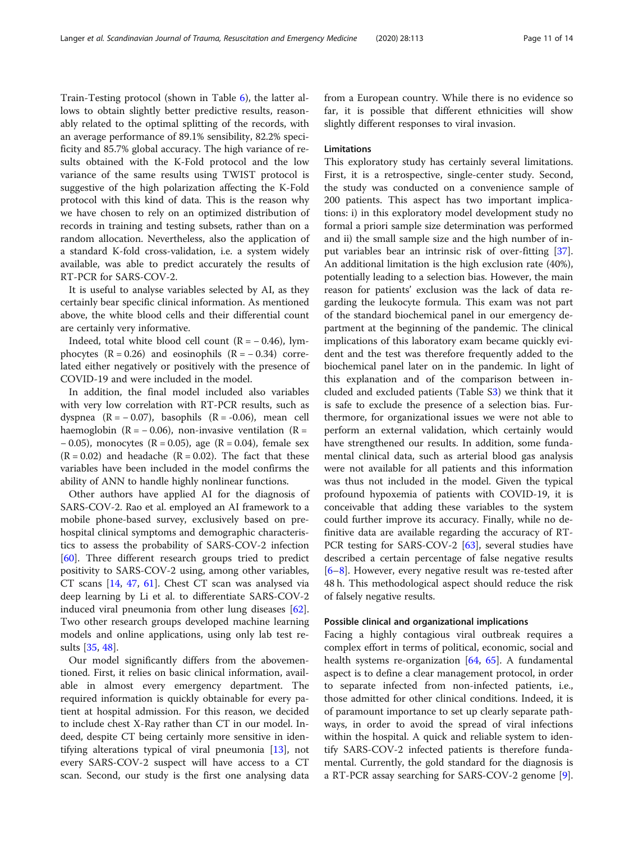Train-Testing protocol (shown in Table [6](#page-9-0)), the latter allows to obtain slightly better predictive results, reasonably related to the optimal splitting of the records, with an average performance of 89.1% sensibility, 82.2% specificity and 85.7% global accuracy. The high variance of results obtained with the K-Fold protocol and the low variance of the same results using TWIST protocol is suggestive of the high polarization affecting the K-Fold protocol with this kind of data. This is the reason why we have chosen to rely on an optimized distribution of records in training and testing subsets, rather than on a random allocation. Nevertheless, also the application of a standard K-fold cross-validation, i.e. a system widely available, was able to predict accurately the results of RT-PCR for SARS-COV-2.

It is useful to analyse variables selected by AI, as they certainly bear specific clinical information. As mentioned above, the white blood cells and their differential count are certainly very informative.

Indeed, total white blood cell count  $(R = -0.46)$ , lymphocytes  $(R = 0.26)$  and eosinophils  $(R = -0.34)$  correlated either negatively or positively with the presence of COVID-19 and were included in the model.

In addition, the final model included also variables with very low correlation with RT-PCR results, such as dyspnea  $(R = -0.07)$ , basophils  $(R = -0.06)$ , mean cell haemoglobin ( $R = -0.06$ ), non-invasive ventilation ( $R =$ − 0.05), monocytes (R = 0.05), age (R = 0.04), female sex  $(R = 0.02)$  and headache  $(R = 0.02)$ . The fact that these variables have been included in the model confirms the ability of ANN to handle highly nonlinear functions.

Other authors have applied AI for the diagnosis of SARS-COV-2. Rao et al. employed an AI framework to a mobile phone-based survey, exclusively based on prehospital clinical symptoms and demographic characteristics to assess the probability of SARS-COV-2 infection [[60\]](#page-13-0). Three different research groups tried to predict positivity to SARS-COV-2 using, among other variables, CT scans [\[14,](#page-12-0) [47,](#page-12-0) [61](#page-13-0)]. Chest CT scan was analysed via deep learning by Li et al. to differentiate SARS-COV-2 induced viral pneumonia from other lung diseases [\[62](#page-13-0)]. Two other research groups developed machine learning models and online applications, using only lab test results [\[35](#page-12-0), [48](#page-12-0)].

Our model significantly differs from the abovementioned. First, it relies on basic clinical information, available in almost every emergency department. The required information is quickly obtainable for every patient at hospital admission. For this reason, we decided to include chest X-Ray rather than CT in our model. Indeed, despite CT being certainly more sensitive in identifying alterations typical of viral pneumonia [[13\]](#page-12-0), not every SARS-COV-2 suspect will have access to a CT scan. Second, our study is the first one analysing data from a European country. While there is no evidence so far, it is possible that different ethnicities will show slightly different responses to viral invasion.

# Limitations

This exploratory study has certainly several limitations. First, it is a retrospective, single-center study. Second, the study was conducted on a convenience sample of 200 patients. This aspect has two important implications: i) in this exploratory model development study no formal a priori sample size determination was performed and ii) the small sample size and the high number of input variables bear an intrinsic risk of over-fitting [\[37](#page-12-0)]. An additional limitation is the high exclusion rate (40%), potentially leading to a selection bias. However, the main reason for patients' exclusion was the lack of data regarding the leukocyte formula. This exam was not part of the standard biochemical panel in our emergency department at the beginning of the pandemic. The clinical implications of this laboratory exam became quickly evident and the test was therefore frequently added to the biochemical panel later on in the pandemic. In light of this explanation and of the comparison between included and excluded patients (Table S[3\)](#page-11-0) we think that it is safe to exclude the presence of a selection bias. Furthermore, for organizational issues we were not able to perform an external validation, which certainly would have strengthened our results. In addition, some fundamental clinical data, such as arterial blood gas analysis were not available for all patients and this information was thus not included in the model. Given the typical profound hypoxemia of patients with COVID-19, it is conceivable that adding these variables to the system could further improve its accuracy. Finally, while no definitive data are available regarding the accuracy of RT-PCR testing for SARS-COV-2 [[63\]](#page-13-0), several studies have described a certain percentage of false negative results [[6](#page-12-0)–[8\]](#page-12-0). However, every negative result was re-tested after 48 h. This methodological aspect should reduce the risk of falsely negative results.

# Possible clinical and organizational implications

Facing a highly contagious viral outbreak requires a complex effort in terms of political, economic, social and health systems re-organization [\[64,](#page-13-0) [65](#page-13-0)]. A fundamental aspect is to define a clear management protocol, in order to separate infected from non-infected patients, i.e., those admitted for other clinical conditions. Indeed, it is of paramount importance to set up clearly separate pathways, in order to avoid the spread of viral infections within the hospital. A quick and reliable system to identify SARS-COV-2 infected patients is therefore fundamental. Currently, the gold standard for the diagnosis is a RT-PCR assay searching for SARS-COV-2 genome [\[9](#page-12-0)].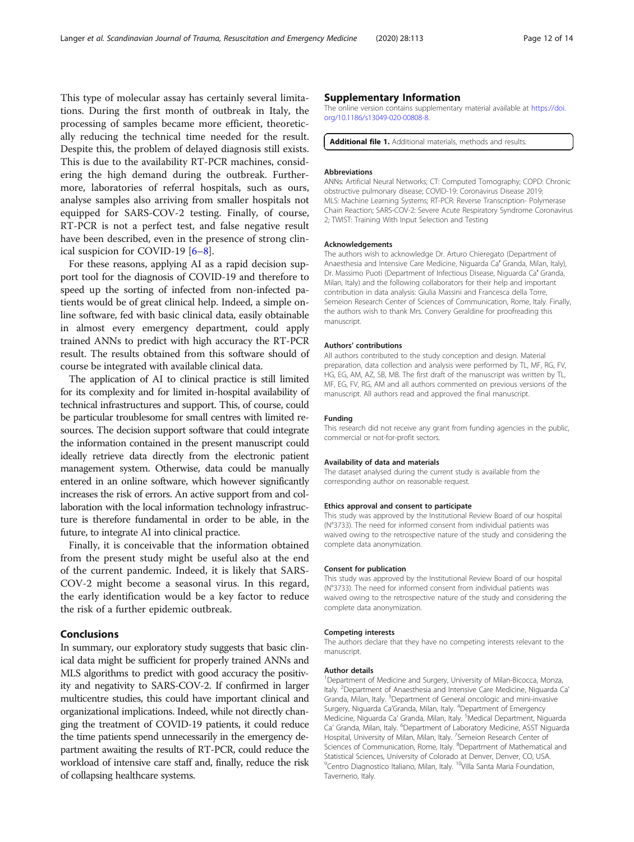<span id="page-11-0"></span>This type of molecular assay has certainly several limitations. During the first month of outbreak in Italy, the processing of samples became more efficient, theoretically reducing the technical time needed for the result. Despite this, the problem of delayed diagnosis still exists. This is due to the availability RT-PCR machines, considering the high demand during the outbreak. Furthermore, laboratories of referral hospitals, such as ours, analyse samples also arriving from smaller hospitals not equipped for SARS-COV-2 testing. Finally, of course, RT-PCR is not a perfect test, and false negative result have been described, even in the presence of strong clinical suspicion for COVID-19 [\[6](#page-12-0)–[8\]](#page-12-0).

For these reasons, applying AI as a rapid decision support tool for the diagnosis of COVID-19 and therefore to speed up the sorting of infected from non-infected patients would be of great clinical help. Indeed, a simple online software, fed with basic clinical data, easily obtainable in almost every emergency department, could apply trained ANNs to predict with high accuracy the RT-PCR result. The results obtained from this software should of course be integrated with available clinical data.

The application of AI to clinical practice is still limited for its complexity and for limited in-hospital availability of technical infrastructures and support. This, of course, could be particular troublesome for small centres with limited resources. The decision support software that could integrate the information contained in the present manuscript could ideally retrieve data directly from the electronic patient management system. Otherwise, data could be manually entered in an online software, which however significantly increases the risk of errors. An active support from and collaboration with the local information technology infrastructure is therefore fundamental in order to be able, in the future, to integrate AI into clinical practice.

Finally, it is conceivable that the information obtained from the present study might be useful also at the end of the current pandemic. Indeed, it is likely that SARS-COV-2 might become a seasonal virus. In this regard, the early identification would be a key factor to reduce the risk of a further epidemic outbreak.

# Conclusions

In summary, our exploratory study suggests that basic clinical data might be sufficient for properly trained ANNs and MLS algorithms to predict with good accuracy the positivity and negativity to SARS-COV-2. If confirmed in larger multicentre studies, this could have important clinical and organizational implications. Indeed, while not directly changing the treatment of COVID-19 patients, it could reduce the time patients spend unnecessarily in the emergency department awaiting the results of RT-PCR, could reduce the workload of intensive care staff and, finally, reduce the risk of collapsing healthcare systems.

# Supplementary Information

The online version contains supplementary material available at [https://doi.](https://doi.org/10.1186/s13049-020-00808-8) [org/10.1186/s13049-020-00808-8.](https://doi.org/10.1186/s13049-020-00808-8)

Additional file 1. Additional materials, methods and results.

### Abbreviations

ANNs: Artificial Neural Networks; CT: Computed Tomography; COPD: Chronic obstructive pulmonary disease; COVID-19: Coronavirus Disease 2019; MLS: Machine Learning Systems; RT-PCR: Reverse Transcription- Polymerase Chain Reaction; SARS-COV-2: Severe Acute Respiratory Syndrome Coronavirus 2; TWIST: Training With Input Selection and Testing

### Acknowledgements

The authors wish to acknowledge Dr. Arturo Chieregato (Department of Anaesthesia and Intensive Care Medicine, Niguarda Ca′ Granda, Milan, Italy), Dr. Massimo Puoti (Department of Infectious Disease, Niguarda Ca′ Granda, Milan, Italy) and the following collaborators for their help and important contribution in data analysis: Giulia Massini and Francesca della Torre, Semeion Research Center of Sciences of Communication, Rome, Italy. Finally, the authors wish to thank Mrs. Convery Geraldine for proofreading this manuscript.

### Authors' contributions

All authors contributed to the study conception and design. Material preparation, data collection and analysis were performed by TL, MF, RG, FV, HG, EG, AM, AZ, SB, MB. The first draft of the manuscript was written by TL, MF, EG, FV, RG, AM and all authors commented on previous versions of the manuscript. All authors read and approved the final manuscript.

#### Funding

This research did not receive any grant from funding agencies in the public, commercial or not-for-profit sectors.

### Availability of data and materials

The dataset analysed during the current study is available from the corresponding author on reasonable request.

#### Ethics approval and consent to participate

This study was approved by the Institutional Review Board of our hospital (N°3733). The need for informed consent from individual patients was waived owing to the retrospective nature of the study and considering the complete data anonymization.

### Consent for publication

This study was approved by the Institutional Review Board of our hospital (N°3733). The need for informed consent from individual patients was waived owing to the retrospective nature of the study and considering the complete data anonymization.

### Competing interests

The authors declare that they have no competing interests relevant to the manuscript.

### Author details

<sup>1</sup>Department of Medicine and Surgery, University of Milan-Bicocca, Monza Italy. <sup>2</sup>Department of Anaesthesia and Intensive Care Medicine, Niguarda Ca Granda, Milan, Italy. <sup>3</sup>Department of General oncologic and mini-invasive Surgery, Niguarda Ca'Granda, Milan, Italy. <sup>4</sup>Department of Emergency Medicine, Niguarda Ca' Granda, Milan, Italy. <sup>5</sup>Medical Department, Niguarda Ca' Granda, Milan, Italy. <sup>6</sup>Department of Laboratory Medicine, ASST Niguarda Hospital, University of Milan, Milan, Italy. <sup>7</sup>Semeion Research Center of Sciences of Communication, Rome, Italy. <sup>8</sup>Department of Mathematical and Statistical Sciences, University of Colorado at Denver, Denver, CO, USA. <sup>9</sup> Centro Diagnostico Italiano, Milan, Italy. <sup>10</sup> Villa Santa Maria Foundation, Tavernerio, Italy.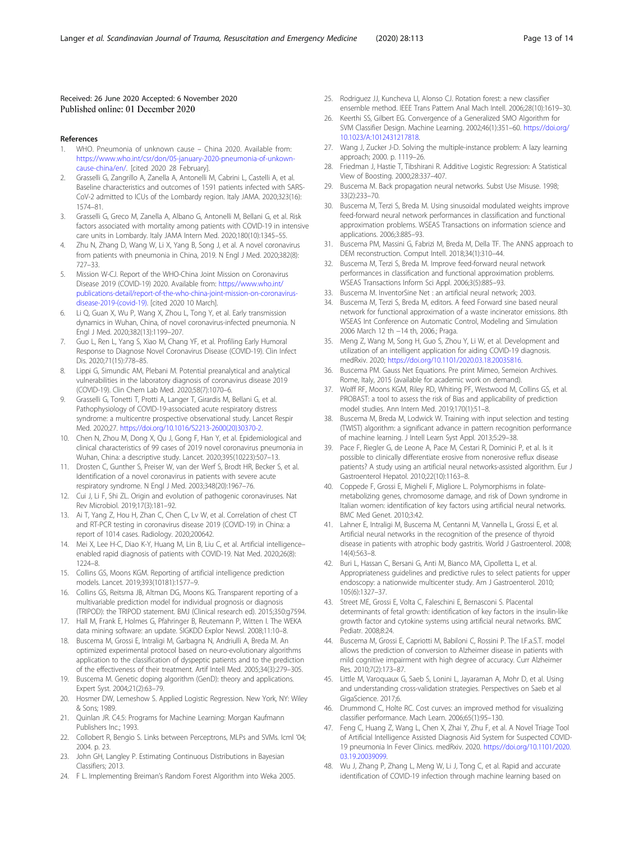# <span id="page-12-0"></span>Received: 26 June 2020 Accepted: 6 November 2020 Published online: 01 December 2020

- References
- 1. WHO. Pneumonia of unknown cause China 2020. Available from: [https://www.who.int/csr/don/05-january-2020-pneumonia-of-unkown](https://www.who.int/csr/don/05-january-2020-pneumonia-of-unkown-cause-china/en/)[cause-china/en/.](https://www.who.int/csr/don/05-january-2020-pneumonia-of-unkown-cause-china/en/) [cited 2020 28 February].
- 2. Grasselli G, Zangrillo A, Zanella A, Antonelli M, Cabrini L, Castelli A, et al. Baseline characteristics and outcomes of 1591 patients infected with SARS-CoV-2 admitted to ICUs of the Lombardy region. Italy JAMA. 2020;323(16): 1574–81.
- 3. Grasselli G, Greco M, Zanella A, Albano G, Antonelli M, Bellani G, et al. Risk factors associated with mortality among patients with COVID-19 in intensive care units in Lombardy. Italy JAMA Intern Med. 2020;180(10):1345–55.
- 4. Zhu N, Zhang D, Wang W, Li X, Yang B, Song J, et al. A novel coronavirus from patients with pneumonia in China, 2019. N Engl J Med. 2020;382(8): 727–33.
- 5. Mission W-CJ. Report of the WHO-China Joint Mission on Coronavirus Disease 2019 (COVID-19) 2020. Available from: [https://www.who.int/](https://www.who.int/publications-detail/report-of-the-who-china-joint-mission-on-coronavirus-disease-2019-(covid-19)) [publications-detail/report-of-the-who-china-joint-mission-on-coronavirus](https://www.who.int/publications-detail/report-of-the-who-china-joint-mission-on-coronavirus-disease-2019-(covid-19))[disease-2019-\(covid-19\)](https://www.who.int/publications-detail/report-of-the-who-china-joint-mission-on-coronavirus-disease-2019-(covid-19)). [cited 2020 10 March].
- 6. Li Q, Guan X, Wu P, Wang X, Zhou L, Tong Y, et al. Early transmission dynamics in Wuhan, China, of novel coronavirus-infected pneumonia. N Engl J Med. 2020;382(13):1199–207.
- Guo L, Ren L, Yang S, Xiao M, Chang YF, et al. Profiling Early Humoral Response to Diagnose Novel Coronavirus Disease (COVID-19). Clin Infect Dis. 2020;71(15):778–85.
- 8. Lippi G, Simundic AM, Plebani M. Potential preanalytical and analytical vulnerabilities in the laboratory diagnosis of coronavirus disease 2019 (COVID-19). Clin Chem Lab Med. 2020;58(7):1070–6.
- 9. Grasselli G, Tonetti T, Protti A, Langer T, Girardis M, Bellani G, et al. Pathophysiology of COVID-19-associated acute respiratory distress syndrome: a multicentre prospective observational study. Lancet Respir Med. 2020;27. [https://doi.org/10.1016/S2213-2600\(20\)30370-2.](https://doi.org/10.1016/S2213-2600(20)30370-2)
- 10. Chen N, Zhou M, Dong X, Qu J, Gong F, Han Y, et al. Epidemiological and clinical characteristics of 99 cases of 2019 novel coronavirus pneumonia in Wuhan, China: a descriptive study. Lancet. 2020;395(10223):507–13.
- 11. Drosten C, Gunther S, Preiser W, van der Werf S, Brodt HR, Becker S, et al. Identification of a novel coronavirus in patients with severe acute respiratory syndrome. N Engl J Med. 2003;348(20):1967–76.
- 12. Cui J, Li F, Shi ZL. Origin and evolution of pathogenic coronaviruses. Nat Rev Microbiol. 2019;17(3):181–92.
- 13. Ai T, Yang Z, Hou H, Zhan C, Chen C, Lv W, et al. Correlation of chest CT and RT-PCR testing in coronavirus disease 2019 (COVID-19) in China: a report of 1014 cases. Radiology. 2020;200642.
- 14. Mei X, Lee H-C, Diao K-Y, Huang M, Lin B, Liu C, et al. Artificial intelligence– enabled rapid diagnosis of patients with COVID-19. Nat Med. 2020;26(8): 1224–8.
- 15. Collins GS, Moons KGM. Reporting of artificial intelligence prediction models. Lancet. 2019;393(10181):1577–9.
- 16. Collins GS, Reitsma JB, Altman DG, Moons KG. Transparent reporting of a multivariable prediction model for individual prognosis or diagnosis (TRIPOD): the TRIPOD statement. BMJ (Clinical research ed). 2015;350:g7594.
- 17. Hall M, Frank E, Holmes G, Pfahringer B, Reutemann P, Witten I. The WEKA data mining software: an update. SIGKDD Explor Newsl. 2008;11:10–8.
- 18. Buscema M, Grossi E, Intraligi M, Garbagna N, Andriulli A, Breda M. An optimized experimental protocol based on neuro-evolutionary algorithms application to the classification of dyspeptic patients and to the prediction of the effectiveness of their treatment. Artif Intell Med. 2005;34(3):279–305.
- Buscema M. Genetic doping algorithm (GenD): theory and applications. Expert Syst. 2004;21(2):63–79.
- 20. Hosmer DW, Lemeshow S. Applied Logistic Regression. New York, NY: Wiley & Sons; 1989.
- 21. Quinlan JR. C4.5: Programs for Machine Learning: Morgan Kaufmann Publishers Inc.; 1993.
- 22. Collobert R, Bengio S. Links between Perceptrons, MLPs and SVMs. Icml '04; 2004. p. 23.
- 23. John GH, Langley P. Estimating Continuous Distributions in Bayesian Classifiers; 2013.
- 24. F L. Implementing Breiman's Random Forest Algorithm into Weka 2005.
- 25. Rodriguez JJ, Kuncheva LI, Alonso CJ. Rotation forest: a new classifier ensemble method. IEEE Trans Pattern Anal Mach Intell. 2006;28(10):1619–30.
- 26. Keerthi SS, Gilbert EG, Convergence of a Generalized SMO Algorithm for SVM Classifier Design. Machine Learning. 2002;46(1):351–60. [https://doi.org/](https://doi.org/10.1023/A:1012431217818) [10.1023/A:1012431217818.](https://doi.org/10.1023/A:1012431217818)
- 27. Wang J, Zucker J-D. Solving the multiple-instance problem: A lazy learning approach; 2000. p. 1119–26.
- 28. Friedman J, Hastie T, Tibshirani R. Additive Logistic Regression: A Statistical View of Boosting. 2000;28:337–407.
- 29. Buscema M. Back propagation neural networks. Subst Use Misuse. 1998; 33(2):233–70.
- 30. Buscema M, Terzi S, Breda M. Using sinusoidal modulated weights improve feed-forward neural network performances in classification and functional approximation problems. WSEAS Transactions on information science and applications. 2006;3:885–93.
- 31. Buscema PM, Massini G, Fabrizi M, Breda M, Della TF. The ANNS approach to DEM reconstruction. Comput Intell. 2018;34(1):310–44.
- 32. Buscema M, Terzi S, Breda M. Improve feed-forward neural network performances in classification and functional approximation problems. WSEAS Transactions Inform Sci Appl. 2006;3(5):885–93.
- 33. Buscema M. InventorSine Net : an artificial neural network; 2003.
- 34. Buscema M, Terzi S, Breda M, editors. A feed Forward sine based neural network for functional approximation of a waste incinerator emissions. 8th WSEAS Int Conference on Automatic Control, Modeling and Simulation 2006 March 12 th −14 th, 2006.; Praga.
- 35. Meng Z, Wang M, Song H, Guo S, Zhou Y, Li W, et al. Development and utilization of an intelligent application for aiding COVID-19 diagnosis. medRxiv. 2020; [https://doi.org/10.1101/2020.03.18.20035816.](https://doi.org/10.1101/2020.03.18.20035816)
- Buscema PM. Gauss Net Equations. Pre print Mimeo, Semeion Archives. Rome, Italy, 2015 (available for academic work on demand).
- 37. Wolff RF, Moons KGM, Riley RD, Whiting PF, Westwood M, Collins GS, et al. PROBAST: a tool to assess the risk of Bias and applicability of prediction model studies. Ann Intern Med. 2019;170(1):51–8.
- 38. Buscema M, Breda M, Lodwick W. Training with input selection and testing (TWIST) algorithm: a significant advance in pattern recognition performance of machine learning. J Intell Learn Syst Appl. 2013;5:29–38.
- 39. Pace F, Riegler G, de Leone A, Pace M, Cestari R, Dominici P, et al. Is it possible to clinically differentiate erosive from nonerosive reflux disease patients? A study using an artificial neural networks-assisted algorithm. Eur J Gastroenterol Hepatol. 2010;22(10):1163–8.
- 40. Coppede F, Grossi E, Migheli F, Migliore L. Polymorphisms in folatemetabolizing genes, chromosome damage, and risk of Down syndrome in Italian women: identification of key factors using artificial neural networks. BMC Med Genet. 2010;3:42.
- 41. Lahner E, Intraligi M, Buscema M, Centanni M, Vannella L, Grossi E, et al. Artificial neural networks in the recognition of the presence of thyroid disease in patients with atrophic body gastritis. World J Gastroenterol. 2008; 14(4):563–8.
- 42. Buri L, Hassan C, Bersani G, Anti M, Bianco MA, Cipolletta L, et al. Appropriateness guidelines and predictive rules to select patients for upper endoscopy: a nationwide multicenter study. Am J Gastroenterol. 2010; 105(6):1327–37.
- 43. Street ME, Grossi E, Volta C, Faleschini E, Bernasconi S. Placental determinants of fetal growth: identification of key factors in the insulin-like growth factor and cytokine systems using artificial neural networks. BMC Pediatr. 2008;8:24.
- 44. Buscema M, Grossi E, Capriotti M, Babiloni C, Rossini P. The I.F.a.S.T. model allows the prediction of conversion to Alzheimer disease in patients with mild cognitive impairment with high degree of accuracy. Curr Alzheimer Res. 2010;7(2):173–87.
- 45. Little M, Varoquaux G, Saeb S, Lonini L, Jayaraman A, Mohr D, et al. Using and understanding cross-validation strategies. Perspectives on Saeb et al GigaScience. 2017;6.
- 46. Drummond C, Holte RC. Cost curves: an improved method for visualizing classifier performance. Mach Learn. 2006;65(1):95–130.
- 47. Feng C, Huang Z, Wang L, Chen X, Zhai Y, Zhu F, et al. A Novel Triage Tool of Artificial Intelligence Assisted Diagnosis Aid System for Suspected COVID-19 pneumonia In Fever Clinics. medRxiv. 2020. [https://doi.org/10.1101/2020.](https://doi.org/10.1101/2020.03.19.20039099) [03.19.20039099](https://doi.org/10.1101/2020.03.19.20039099).
- 48. Wu J, Zhang P, Zhang L, Meng W, Li J, Tong C, et al. Rapid and accurate identification of COVID-19 infection through machine learning based on